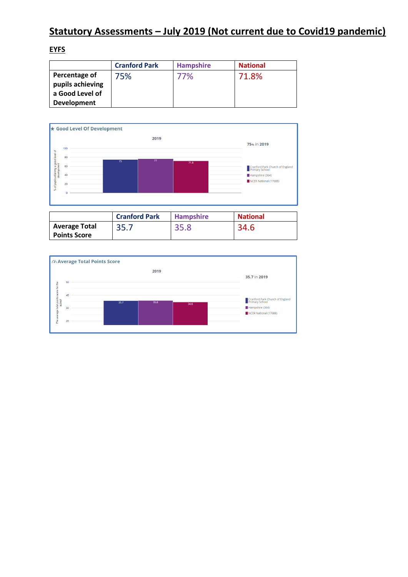# **Statutory Assessments – July 2019 (Not current due to Covid19 pandemic)**

## **EYFS**

|                    | <b>Cranford Park</b> | <b>Hampshire</b> | <b>National</b> |
|--------------------|----------------------|------------------|-----------------|
| Percentage of      | 75%                  | 77%              | 71.8%           |
| pupils achieving   |                      |                  |                 |
| a Good Level of    |                      |                  |                 |
| <b>Development</b> |                      |                  |                 |



|                                             | <b>Cranford Park</b> | <b>Hampshire</b> | <b>National</b> |
|---------------------------------------------|----------------------|------------------|-----------------|
| <b>Average Total</b><br><b>Points Score</b> | 35.7                 | 35.8             | 34.6            |

| MAverage Total Points Score                      |    |                      |                                                   |  |  |
|--------------------------------------------------|----|----------------------|---------------------------------------------------|--|--|
|                                                  |    | 2019                 | 35.7 in 2019                                      |  |  |
|                                                  | 50 |                      |                                                   |  |  |
|                                                  | 40 |                      | Cranford Park Church of England<br>Primary School |  |  |
| The average total points score for the<br>school | 30 | 35.8<br>35.7<br>34.6 | Hampshire (364)<br>NCER National (17688)          |  |  |
|                                                  | 20 |                      |                                                   |  |  |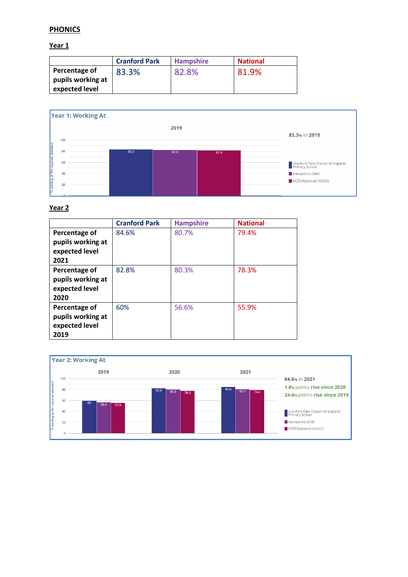## **PHONICS**

**Year 1**

|                                                      | <b>Cranford Park</b> | <b>Hampshire</b> | <b>National</b> |
|------------------------------------------------------|----------------------|------------------|-----------------|
| Percentage of<br>pupils working at<br>expected level | 83.3%                | 82.8%            | 81.9%           |



#### **Year 2**

|                                                              | <b>Cranford Park</b> | <b>Hampshire</b> | <b>National</b> |
|--------------------------------------------------------------|----------------------|------------------|-----------------|
| Percentage of<br>pupils working at<br>expected level<br>2021 | 84.6%                | 80.7%            | 79.4%           |
| Percentage of<br>pupils working at<br>expected level<br>2020 | 82.8%                | 80.3%            | 78.3%           |
| Percentage of<br>pupils working at<br>expected level<br>2019 | 60%                  | 56.6%            | 55.9%           |

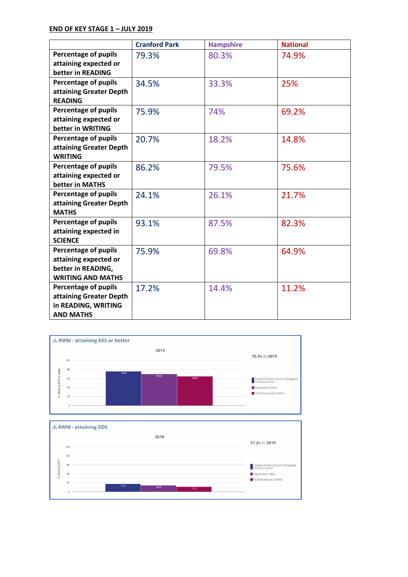### **END OF KEY STAGE 1 – JULY 2019**

|                             | <b>Cranford Park</b> | <b>Hampshire</b> | <b>National</b> |
|-----------------------------|----------------------|------------------|-----------------|
| <b>Percentage of pupils</b> | 79.3%                | 80.3%            | 74.9%           |
| attaining expected or       |                      |                  |                 |
| better in READING           |                      |                  |                 |
| <b>Percentage of pupils</b> | 34.5%                | 33.3%            | 25%             |
| attaining Greater Depth     |                      |                  |                 |
| <b>READING</b>              |                      |                  |                 |
| <b>Percentage of pupils</b> | 75.9%                | 74%              | 69.2%           |
| attaining expected or       |                      |                  |                 |
| better in WRITING           |                      |                  |                 |
| <b>Percentage of pupils</b> | 20.7%                | 18.2%            | 14.8%           |
| attaining Greater Depth     |                      |                  |                 |
| <b>WRITING</b>              |                      |                  |                 |
| <b>Percentage of pupils</b> | 86.2%                | 79.5%            | 75.6%           |
| attaining expected or       |                      |                  |                 |
| better in MATHS             |                      |                  |                 |
| <b>Percentage of pupils</b> | 24.1%                | 26.1%            | 21.7%           |
| attaining Greater Depth     |                      |                  |                 |
| <b>MATHS</b>                |                      |                  |                 |
| <b>Percentage of pupils</b> | 93.1%                | 87.5%            | 82.3%           |
| attaining expected in       |                      |                  |                 |
| <b>SCIENCE</b>              |                      |                  |                 |
| <b>Percentage of pupils</b> | 75.9%                | 69.8%            | 64.9%           |
| attaining expected or       |                      |                  |                 |
| better in READING,          |                      |                  |                 |
| <b>WRITING AND MATHS</b>    |                      |                  |                 |
| <b>Percentage of pupils</b> | 17.2%                | 14.4%            | 11.2%           |
| attaining Greater Depth     |                      |                  |                 |
| in READING, WRITING         |                      |                  |                 |
| <b>AND MATHS</b>            |                      |                  |                 |